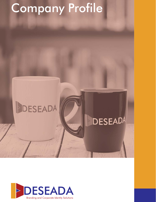## Company Profile

## DESEADA

## **DESEADA**

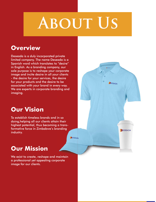# **About Us**

DESEADA

DESEADA

### **Overview**

Deseada is a duly incorporated private limited company. The name Deseada is a Spanish word which translates to "desire" in English. As a branding company, our sole purpose is to reshape your corporate image and incite desire in all your clients - the desire for your services, the desire for your products and the desire to be associated with your brand in every way. We are experts in corporate branding and imaging. o "desire'<br>ıny, our<br>corporate<br>ur clients nding<br>,<br>,<br>,<br>, in so

## **Our Vision**

To establish timeless brands and in so doing,helping all our clients attain their highest potential, thus becoming a transformative force in Zimbabwe's branding industry. in their<br>y a trans-<br>randing<br>maintain<br>porate

DESEADA

## **Our Mission**

We exist to create, reshape and maintain a professional yet appealing corporate image for our clients.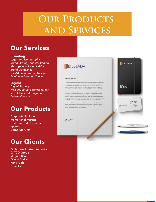## **OUR PRODUCTS and Services**

### **Our Services**

#### **Branding**

*Logos and Iconography Brand Strategy and Positioning Message and Tone of Voice Brand Guidelines Lifestyle and Product Design Retail and Branded Spaces*

#### **Digital**

*Digital Strategy Web Design and Development Social Media Management Content Creation*

## **Our Products**

Corporate Stationery Promotional Material Uniforms and Corporate apparel Corporate Gifts

## **Our Clients**

Zimbabwe Tourism Authority DATCO Group Mugg n Bean Ocean Basket News Cafe Project 7

#### **DESEADA**

#### Hello, world!

A wonderful serently has taken possession of my entire soul, like these sweet mornings of spring A worlden there are the basic possession of my enter soul, the three soulsel mornings of spin which is eight with my which heart. I am alone, and feel the channel descriptions in this spot, when we consider the basic of s

DESEADA

2017<br>DIARY

DESEADA

Nick Frost

Your Logo c

While the lovely valley teems with vapour around me, and the meridian sun strikes the upp While the overly valley aren's with valley are month and the mention surface of the incrementally balance of the imposertable balance of my trees, and but a few story gluerra steal studies of the imposertable balance of th

I am alone, and feel the charm of existence in this spot, which was created for the blas of south<br>like minic. I am so happy, my dear firered, so obsorbed in the exquisite sense of mere tranquil<br>existence, that I seglest m

Bother